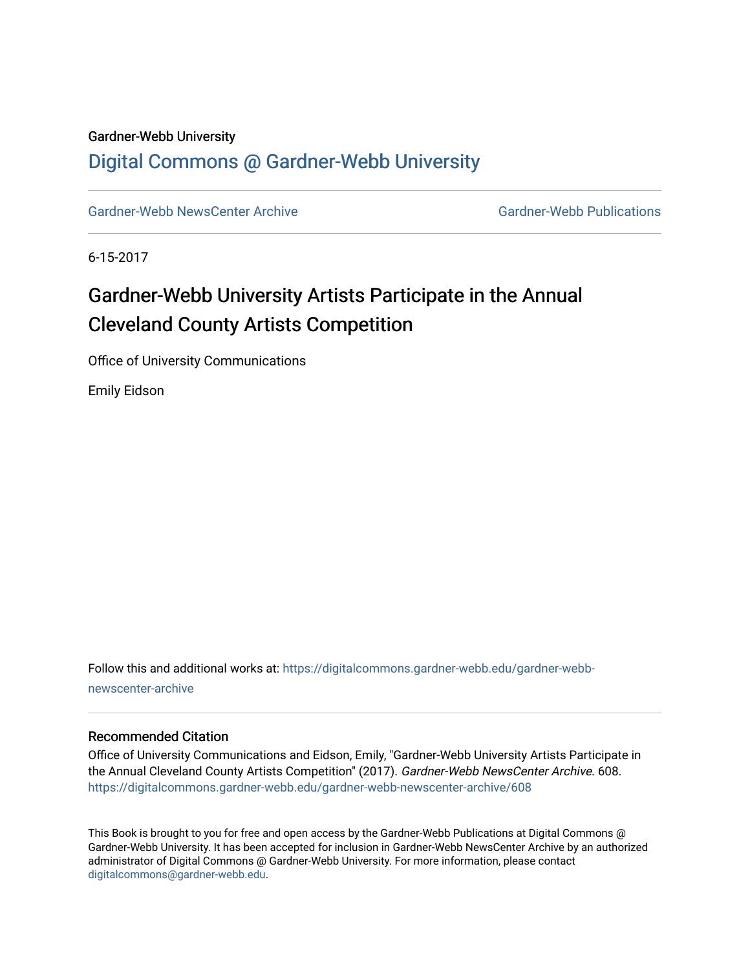#### Gardner-Webb University

### [Digital Commons @ Gardner-Webb University](https://digitalcommons.gardner-webb.edu/)

[Gardner-Webb NewsCenter Archive](https://digitalcommons.gardner-webb.edu/gardner-webb-newscenter-archive) Gardner-Webb Publications

6-15-2017

## Gardner-Webb University Artists Participate in the Annual Cleveland County Artists Competition

Office of University Communications

Emily Eidson

Follow this and additional works at: [https://digitalcommons.gardner-webb.edu/gardner-webb](https://digitalcommons.gardner-webb.edu/gardner-webb-newscenter-archive?utm_source=digitalcommons.gardner-webb.edu%2Fgardner-webb-newscenter-archive%2F608&utm_medium=PDF&utm_campaign=PDFCoverPages)[newscenter-archive](https://digitalcommons.gardner-webb.edu/gardner-webb-newscenter-archive?utm_source=digitalcommons.gardner-webb.edu%2Fgardner-webb-newscenter-archive%2F608&utm_medium=PDF&utm_campaign=PDFCoverPages)

#### Recommended Citation

Office of University Communications and Eidson, Emily, "Gardner-Webb University Artists Participate in the Annual Cleveland County Artists Competition" (2017). Gardner-Webb NewsCenter Archive. 608. [https://digitalcommons.gardner-webb.edu/gardner-webb-newscenter-archive/608](https://digitalcommons.gardner-webb.edu/gardner-webb-newscenter-archive/608?utm_source=digitalcommons.gardner-webb.edu%2Fgardner-webb-newscenter-archive%2F608&utm_medium=PDF&utm_campaign=PDFCoverPages)

This Book is brought to you for free and open access by the Gardner-Webb Publications at Digital Commons @ Gardner-Webb University. It has been accepted for inclusion in Gardner-Webb NewsCenter Archive by an authorized administrator of Digital Commons @ Gardner-Webb University. For more information, please contact [digitalcommons@gardner-webb.edu](mailto:digitalcommons@gardner-webb.edu).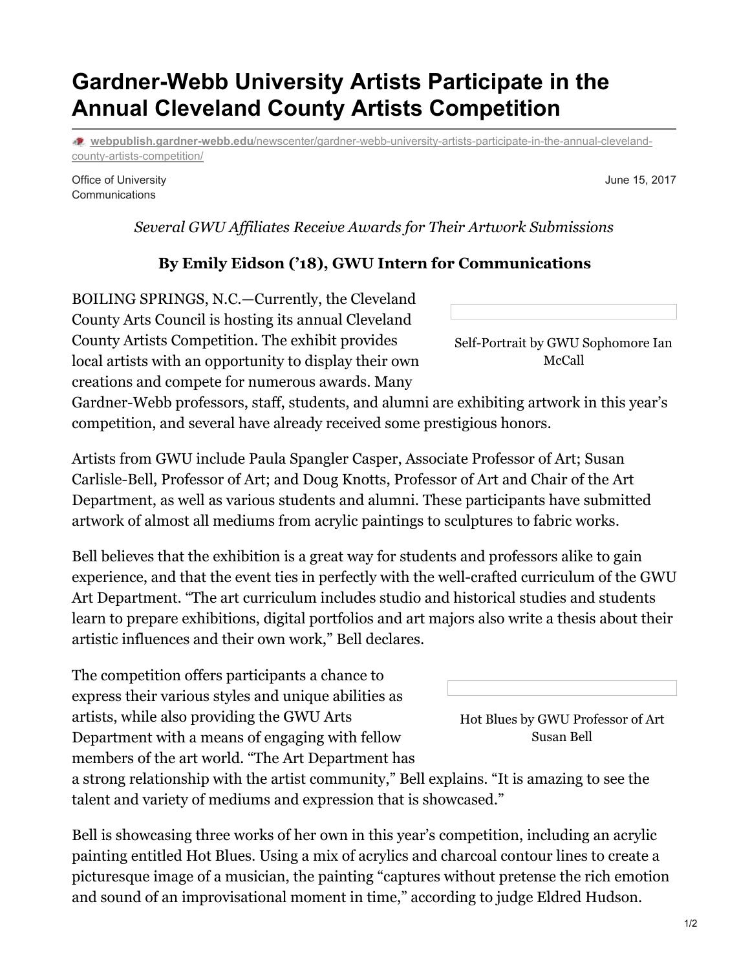# **Gardner-Webb University Artists Participate in the Annual Cleveland County Artists Competition**

**webpublish.gardner-webb.edu**[/newscenter/gardner-webb-university-artists-participate-in-the-annual-cleveland](https://webpublish.gardner-webb.edu/newscenter/gardner-webb-university-artists-participate-in-the-annual-cleveland-county-artists-competition/)county-artists-competition/

Office of University **Communications** 

*Several GWU Af iliates Receive Awards for Their Artwork Submissions*

### **By Emily Eidson ('18), GWU Intern for Communications**

BOILING SPRINGS, N.C.—Currently, the Cleveland County Arts Council is hosting its annual Cleveland County Artists Competition. The exhibit provides local artists with an opportunity to display their own creations and compete for numerous awards. Many

Gardner-Webb professors, staff, students, and alumni are exhibiting artwork in this year's competition, and several have already received some prestigious honors.

Artists from GWU include Paula Spangler Casper, Associate Professor of Art; Susan Carlisle-Bell, Professor of Art; and Doug Knotts, Professor of Art and Chair of the Art Department, as well as various students and alumni. These participants have submitted artwork of almost all mediums from acrylic paintings to sculptures to fabric works.

Bell believes that the exhibition is a great way for students and professors alike to gain experience, and that the event ties in perfectly with the well-crafted curriculum of the GWU Art Department. "The art curriculum includes studio and historical studies and students learn to prepare exhibitions, digital portfolios and art majors also write a thesis about their artistic influences and their own work," Bell declares.

The competition offers participants a chance to express their various styles and unique abilities as artists, while also providing the GWU Arts Department with a means of engaging with fellow members of the art world. "The Art Department has

a strong relationship with the artist community," Bell explains. "It is amazing to see the talent and variety of mediums and expression that is showcased."

Bell is showcasing three works of her own in this year's competition, including an acrylic painting entitled Hot Blues. Using a mix of acrylics and charcoal contour lines to create a picturesque image of a musician, the painting "captures without pretense the rich emotion and sound of an improvisational moment in time," according to judge Eldred Hudson.

Self-Portrait by GWU Sophomore Ian McCall

June 15, 2017

Hot Blues by GWU Professor of Art Susan Bell